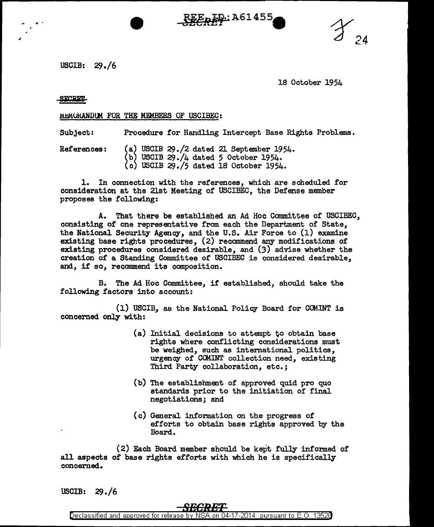USCIB: 29./6

18 October 1954

## **SECRET**

" -

## MEMORANDUM FOR THE MEMBERS OF USCIBEC:

Subject: Procedure for Handling Intercept Base Rights Problems.

**REE<sub>R</sub>ID: A61455** 

References: (a) USCIB 29./2 dated 21 September 1954. (b) USCIB 29./4 dated 5 October 1954. (c) USCIB 29./5 dated 18 October 1954.

1. In connection with the references, which are scheduled. for consideration at the 21st Meeting of USCIBEC, the Defense member proposes the following:

A. That there be established. an Ad Hoc Committee of USCIBEC, consisting of one representative from each the Department of State, the National Security Agency, and the U.S. Air Force to (1) examine existing base rights procedures, (2) recommend any modifications of existing procedures considered desirable, and (3) advise whether the creation of a Standing Committee *ot* USCIBEC is considered desirable, and, if so, recommend its composition.

B. The Ad Hoc Committee, if established, should take the following factors into account:

(1) USCIB, as the National Policy Board for CCMINT is concerned only with:

- $(a)$  Initial decisions to attempt to obtain base rights where conflicting considerations must be weighed, such as international politics, urgency of COMINT collection need, existing Third Party collaboration, etc.;
- (b) The establishment of approved quid pro quo standards prior to the initiation of final negotiations; and
- (c) General information on the progress of efforts to obtain base rights approved by the Board.

( 2) Each Board member should be kept fully informed of all aspects of base rights efforts with which he is specifically concerned.

USCIB: 29./6

## Declassified and approved for release by N  $-17-2014$  pursuant to  $E.O.$